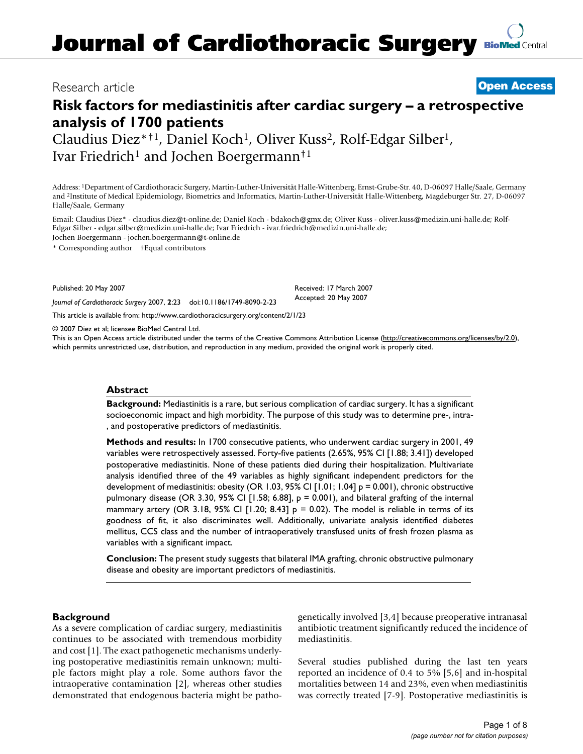# Research article **[Open Access](http://www.biomedcentral.com/info/about/charter/)**

# **Risk factors for mediastinitis after cardiac surgery – a retrospective analysis of 1700 patients**

Claudius Diez\*<sup>†1</sup>, Daniel Koch<sup>1</sup>, Oliver Kuss<sup>2</sup>, Rolf-Edgar Silber<sup>1</sup>, Ivar Friedrich<sup>1</sup> and Jochen Boergermann<sup>†1</sup>

Address: 1Department of Cardiothoracic Surgery, Martin-Luther-Universität Halle-Wittenberg, Ernst-Grube-Str. 40, D-06097 Halle/Saale, Germany and 2Institute of Medical Epidemiology, Biometrics and Informatics, Martin-Luther-Universität Halle-Wittenberg, Magdeburger Str. 27, D-06097 Halle/Saale, Germany

Email: Claudius Diez\* - claudius.diez@t-online.de; Daniel Koch - bdakoch@gmx.de; Oliver Kuss - oliver.kuss@medizin.uni-halle.de; Rolf-Edgar Silber - edgar.silber@medizin.uni-halle.de; Ivar Friedrich - ivar.friedrich@medizin.uni-halle.de; Jochen Boergermann - jochen.boergermann@t-online.de

\* Corresponding author †Equal contributors

Published: 20 May 2007

*Journal of Cardiothoracic Surgery* 2007, **2**:23 doi:10.1186/1749-8090-2-23

[This article is available from: http://www.cardiothoracicsurgery.org/content/2/1/23](http://www.cardiothoracicsurgery.org/content/2/1/23)

© 2007 Diez et al; licensee BioMed Central Ltd.

This is an Open Access article distributed under the terms of the Creative Commons Attribution License [\(http://creativecommons.org/licenses/by/2.0\)](http://creativecommons.org/licenses/by/2.0), which permits unrestricted use, distribution, and reproduction in any medium, provided the original work is properly cited.

Received: 17 March 2007 Accepted: 20 May 2007

#### **Abstract**

**Background:** Mediastinitis is a rare, but serious complication of cardiac surgery. It has a significant socioeconomic impact and high morbidity. The purpose of this study was to determine pre-, intra- , and postoperative predictors of mediastinitis.

**Methods and results:** In 1700 consecutive patients, who underwent cardiac surgery in 2001, 49 variables were retrospectively assessed. Forty-five patients (2.65%, 95% CI [1.88; 3.41]) developed postoperative mediastinitis. None of these patients died during their hospitalization. Multivariate analysis identified three of the 49 variables as highly significant independent predictors for the development of mediastinitis: obesity (OR 1.03, 95% CI [1.01; 1.04] p = 0.001), chronic obstructive pulmonary disease (OR 3.30, 95% CI [1.58; 6.88], p = 0.001), and bilateral grafting of the internal mammary artery (OR 3.18, 95% CI  $[1.20; 8.43]$  p = 0.02). The model is reliable in terms of its goodness of fit, it also discriminates well. Additionally, univariate analysis identified diabetes mellitus, CCS class and the number of intraoperatively transfused units of fresh frozen plasma as variables with a significant impact.

**Conclusion:** The present study suggests that bilateral IMA grafting, chronic obstructive pulmonary disease and obesity are important predictors of mediastinitis.

#### **Background**

As a severe complication of cardiac surgery, mediastinitis continues to be associated with tremendous morbidity and cost [1]. The exact pathogenetic mechanisms underlying postoperative mediastinitis remain unknown; multiple factors might play a role. Some authors favor the intraoperative contamination [2], whereas other studies demonstrated that endogenous bacteria might be pathogenetically involved [3,4] because preoperative intranasal antibiotic treatment significantly reduced the incidence of mediastinitis.

Several studies published during the last ten years reported an incidence of 0.4 to 5% [5,6] and in-hospital mortalities between 14 and 23%, even when mediastinitis was correctly treated [7-9]. Postoperative mediastinitis is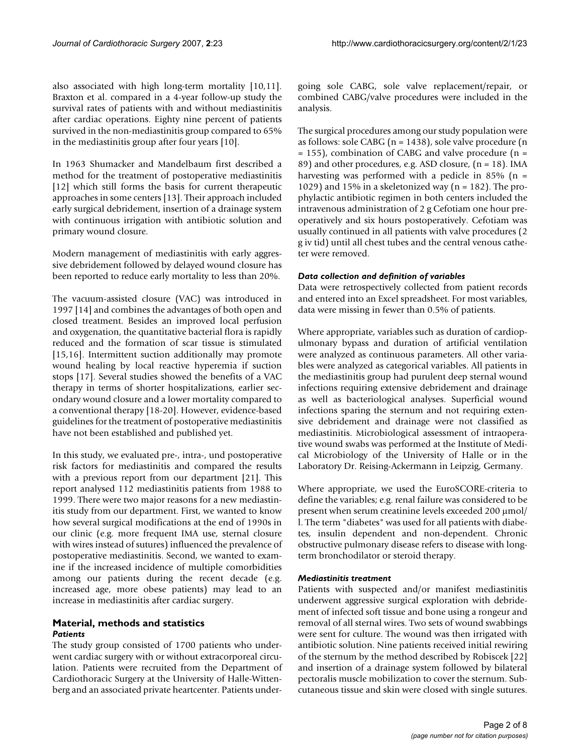also associated with high long-term mortality [10,11]. Braxton et al. compared in a 4-year follow-up study the survival rates of patients with and without mediastinitis after cardiac operations. Eighty nine percent of patients survived in the non-mediastinitis group compared to 65% in the mediastinitis group after four years [10].

In 1963 Shumacker and Mandelbaum first described a method for the treatment of postoperative mediastinitis [12] which still forms the basis for current therapeutic approaches in some centers [13]. Their approach included early surgical debridement, insertion of a drainage system with continuous irrigation with antibiotic solution and primary wound closure.

Modern management of mediastinitis with early aggressive debridement followed by delayed wound closure has been reported to reduce early mortality to less than 20%.

The vacuum-assisted closure (VAC) was introduced in 1997 [14] and combines the advantages of both open and closed treatment. Besides an improved local perfusion and oxygenation, the quantitative bacterial flora is rapidly reduced and the formation of scar tissue is stimulated [15,16]. Intermittent suction additionally may promote wound healing by local reactive hyperemia if suction stops [17]. Several studies showed the benefits of a VAC therapy in terms of shorter hospitalizations, earlier secondary wound closure and a lower mortality compared to a conventional therapy [18-20]. However, evidence-based guidelines for the treatment of postoperative mediastinitis have not been established and published yet.

In this study, we evaluated pre-, intra-, und postoperative risk factors for mediastinitis and compared the results with a previous report from our department [21]. This report analysed 112 mediastinitis patients from 1988 to 1999. There were two major reasons for a new mediastinitis study from our department. First, we wanted to know how several surgical modifications at the end of 1990s in our clinic (e.g. more frequent IMA use, sternal closure with wires instead of sutures) influenced the prevalence of postoperative mediastinitis. Second, we wanted to examine if the increased incidence of multiple comorbidities among our patients during the recent decade (e.g. increased age, more obese patients) may lead to an increase in mediastinitis after cardiac surgery.

### **Material, methods and statistics** *Patients*

The study group consisted of 1700 patients who underwent cardiac surgery with or without extracorporeal circulation. Patients were recruited from the Department of Cardiothoracic Surgery at the University of Halle-Wittenberg and an associated private heartcenter. Patients undergoing sole CABG, sole valve replacement/repair, or combined CABG/valve procedures were included in the analysis.

The surgical procedures among our study population were as follows: sole CABG ( $n = 1438$ ), sole valve procedure ( $n = 1438$ )  $= 155$ ), combination of CABG and valve procedure (n = 89) and other procedures, e.g. ASD closure, (n = 18). IMA harvesting was performed with a pedicle in 85% ( $n =$ 1029) and 15% in a skeletonized way ( $n = 182$ ). The prophylactic antibiotic regimen in both centers included the intravenous administration of 2 g Cefotiam one hour preoperatively and six hours postoperatively. Cefotiam was usually continued in all patients with valve procedures (2 g iv tid) until all chest tubes and the central venous catheter were removed.

#### *Data collection and definition of variables*

Data were retrospectively collected from patient records and entered into an Excel spreadsheet. For most variables, data were missing in fewer than 0.5% of patients.

Where appropriate, variables such as duration of cardiopulmonary bypass and duration of artificial ventilation were analyzed as continuous parameters. All other variables were analyzed as categorical variables. All patients in the mediastinitis group had purulent deep sternal wound infections requiring extensive debridement and drainage as well as bacteriological analyses. Superficial wound infections sparing the sternum and not requiring extensive debridement and drainage were not classified as mediastinitis. Microbiological assessment of intraoperative wound swabs was performed at the Institute of Medical Microbiology of the University of Halle or in the Laboratory Dr. Reising-Ackermann in Leipzig, Germany.

Where appropriate, we used the EuroSCORE-criteria to define the variables; e.g. renal failure was considered to be present when serum creatinine levels exceeded 200 μmol/ l. The term "diabetes" was used for all patients with diabetes, insulin dependent and non-dependent. Chronic obstructive pulmonary disease refers to disease with longterm bronchodilator or steroid therapy.

### *Mediastinitis treatment*

Patients with suspected and/or manifest mediastinitis underwent aggressive surgical exploration with debridement of infected soft tissue and bone using a rongeur and removal of all sternal wires. Two sets of wound swabbings were sent for culture. The wound was then irrigated with antibiotic solution. Nine patients received initial rewiring of the sternum by the method described by Robiscek [22] and insertion of a drainage system followed by bilateral pectoralis muscle mobilization to cover the sternum. Subcutaneous tissue and skin were closed with single sutures.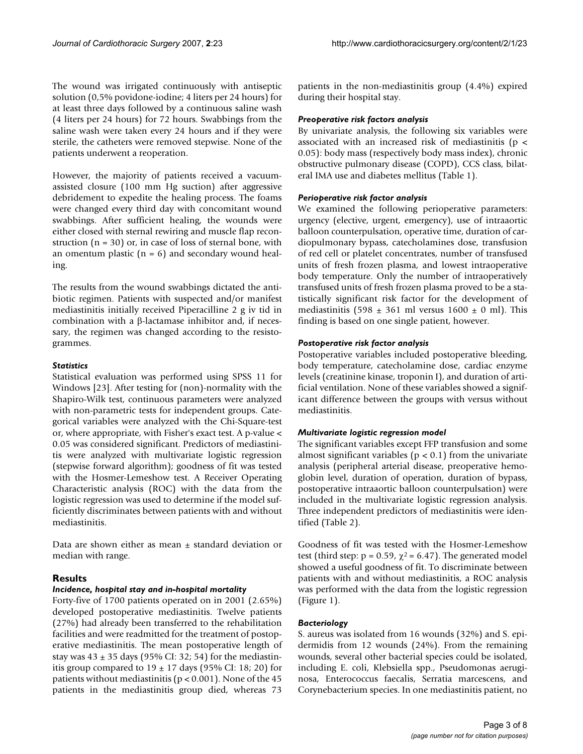The wound was irrigated continuously with antiseptic solution (0,5% povidone-iodine; 4 liters per 24 hours) for at least three days followed by a continuous saline wash (4 liters per 24 hours) for 72 hours. Swabbings from the saline wash were taken every 24 hours and if they were sterile, the catheters were removed stepwise. None of the patients underwent a reoperation.

However, the majority of patients received a vacuumassisted closure (100 mm Hg suction) after aggressive debridement to expedite the healing process. The foams were changed every third day with concomitant wound swabbings. After sufficient healing, the wounds were either closed with sternal rewiring and muscle flap reconstruction  $(n = 30)$  or, in case of loss of sternal bone, with an omentum plastic ( $n = 6$ ) and secondary wound healing.

The results from the wound swabbings dictated the antibiotic regimen. Patients with suspected and/or manifest mediastinitis initially received Piperacilline 2 g iv tid in combination with a β-lactamase inhibitor and, if necessary, the regimen was changed according to the resistogrammes.

#### *Statistics*

Statistical evaluation was performed using SPSS 11 for Windows [23]. After testing for (non)-normality with the Shapiro-Wilk test, continuous parameters were analyzed with non-parametric tests for independent groups. Categorical variables were analyzed with the Chi-Square-test or, where appropriate, with Fisher's exact test. A p-value < 0.05 was considered significant. Predictors of mediastinitis were analyzed with multivariate logistic regression (stepwise forward algorithm); goodness of fit was tested with the Hosmer-Lemeshow test. A Receiver Operating Characteristic analysis (ROC) with the data from the logistic regression was used to determine if the model sufficiently discriminates between patients with and without mediastinitis.

Data are shown either as mean  $\pm$  standard deviation or median with range.

#### **Results**

#### *Incidence, hospital stay and in-hospital mortality*

Forty-five of 1700 patients operated on in 2001 (2.65%) developed postoperative mediastinitis. Twelve patients (27%) had already been transferred to the rehabilitation facilities and were readmitted for the treatment of postoperative mediastinitis. The mean postoperative length of stay was  $43 \pm 35$  days (95% CI: 32; 54) for the mediastinitis group compared to  $19 \pm 17$  days (95% CI: 18; 20) for patients without mediastinitis ( $p < 0.001$ ). None of the 45 patients in the mediastinitis group died, whereas 73 patients in the non-mediastinitis group (4.4%) expired during their hospital stay.

#### *Preoperative risk factors analysis*

By univariate analysis, the following six variables were associated with an increased risk of mediastinitis (p < 0.05): body mass (respectively body mass index), chronic obstructive pulmonary disease (COPD), CCS class, bilateral IMA use and diabetes mellitus (Table 1).

#### *Perioperative risk factor analysis*

We examined the following perioperative parameters: urgency (elective, urgent, emergency), use of intraaortic balloon counterpulsation, operative time, duration of cardiopulmonary bypass, catecholamines dose, transfusion of red cell or platelet concentrates, number of transfused units of fresh frozen plasma, and lowest intraoperative body temperature. Only the number of intraoperatively transfused units of fresh frozen plasma proved to be a statistically significant risk factor for the development of mediastinitis (598  $\pm$  361 ml versus 1600  $\pm$  0 ml). This finding is based on one single patient, however.

#### *Postoperative risk factor analysis*

Postoperative variables included postoperative bleeding, body temperature, catecholamine dose, cardiac enzyme levels (creatinine kinase, troponin I), and duration of artificial ventilation. None of these variables showed a significant difference between the groups with versus without mediastinitis.

#### *Multivariate logistic regression model*

The significant variables except FFP transfusion and some almost significant variables ( $p < 0.1$ ) from the univariate analysis (peripheral arterial disease, preoperative hemoglobin level, duration of operation, duration of bypass, postoperative intraaortic balloon counterpulsation) were included in the multivariate logistic regression analysis. Three independent predictors of mediastinitis were identified (Table 2).

Goodness of fit was tested with the Hosmer-Lemeshow test (third step:  $p = 0.59$ ,  $\chi^2 = 6.47$ ). The generated model showed a useful goodness of fit. To discriminate between patients with and without mediastinitis, a ROC analysis was performed with the data from the logistic regression (Figure 1).

#### *Bacteriology*

S. aureus was isolated from 16 wounds (32%) and S. epidermidis from 12 wounds (24%). From the remaining wounds, several other bacterial species could be isolated, including E. coli, Klebsiella spp., Pseudomonas aeruginosa, Enterococcus faecalis, Serratia marcescens, and Corynebacterium species. In one mediastinitis patient, no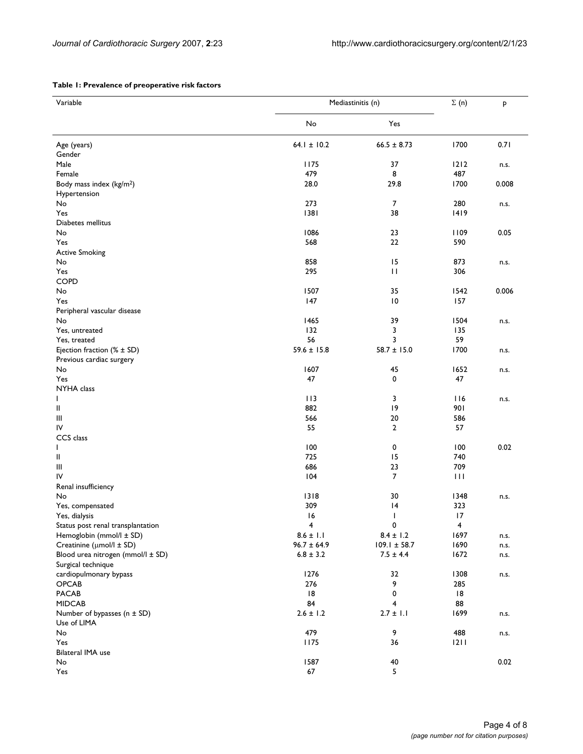#### **Table 1: Prevalence of preoperative risk factors**

| Variable                             | Mediastinitis (n) | $\Sigma(n)$      | P                       |       |
|--------------------------------------|-------------------|------------------|-------------------------|-------|
|                                      | No                | Yes              |                         |       |
| Age (years)                          | $64.1 \pm 10.2$   | $66.5 \pm 8.73$  | 1700                    | 0.71  |
| Gender                               |                   |                  |                         |       |
| Male                                 | 1175              | 37               | 1212                    | n.s.  |
| Female                               | 479               | 8                | 487                     |       |
| Body mass index (kg/m <sup>2</sup> ) | 28.0              | 29.8             | 1700                    | 0.008 |
| Hypertension                         |                   |                  |                         |       |
| No                                   | 273               | $\overline{7}$   | 280                     | n.s.  |
| Yes                                  | 1381              | 38               | 1419                    |       |
| Diabetes mellitus                    |                   |                  |                         |       |
| No                                   | 1086              | 23               | 1109                    | 0.05  |
| Yes                                  | 568               | 22               | 590                     |       |
| <b>Active Smoking</b>                |                   |                  |                         |       |
| No                                   | 858               | 15               | 873                     | n.s.  |
| Yes                                  | 295               | $\mathbf{H}$     | 306                     |       |
| COPD                                 |                   |                  |                         |       |
|                                      |                   |                  |                         |       |
| No                                   | 1507              | 35               | 1542                    | 0.006 |
| Yes                                  | 147               | 10               | 157                     |       |
| Peripheral vascular disease          |                   |                  |                         |       |
| No                                   | 1465              | 39               | 1504                    | n.s.  |
| Yes, untreated                       | 132               | 3                | 135                     |       |
| Yes, treated                         | 56                | 3                | 59                      |       |
| Ejection fraction $(\% \pm SD)$      | $59.6 \pm 15.8$   | $58.7 \pm 15.0$  | 1700                    | n.s.  |
| Previous cardiac surgery             |                   |                  |                         |       |
| No                                   | 1607              | 45               | 1652                    | n.s.  |
| Yes                                  | 47                | 0                | 47                      |       |
| NYHA class                           |                   |                  |                         |       |
| ı                                    | 113               | 3                | 116                     | n.s.  |
| $\mathsf{I}\mathsf{I}$               | 882               | 9                | 901                     |       |
| Ш                                    | 566               | 20               | 586                     |       |
| IV                                   | 55                | $\overline{2}$   | 57                      |       |
| CCS class                            |                   |                  |                         |       |
|                                      |                   |                  |                         |       |
| L                                    | 100               | 0                | 100                     | 0.02  |
| $\mathsf{I}$                         | 725               | 15               | 740                     |       |
| $\mathop{\mathsf{III}}\nolimits$     | 686               | 23               | 709                     |       |
| IV                                   | 104               | $\overline{7}$   | $\mathbf{H}$            |       |
| Renal insufficiency                  |                   |                  |                         |       |
| No                                   | 1318              | 30               | 1348                    | n.s.  |
| Yes, compensated                     | 309               | 4                | 323                     |       |
| Yes, dialysis                        | 16                | I                | 17                      |       |
| Status post renal transplantation    | 4                 | 0                | $\overline{\mathbf{4}}$ |       |
| Hemoglobin (mmol/l ± SD)             | $8.6 \pm 1.1$     | $8.4 \pm 1.2$    | 1697                    | n.s.  |
| Creatinine (µmol/l ± SD)             | $96.7 \pm 64.9$   | $109.1 \pm 58.7$ | 1690                    | n.s.  |
| Blood urea nitrogen (mmol/l ± SD)    | $6.8 \pm 3.2$     | $7.5 \pm 4.4$    | 1672                    | n.s.  |
| Surgical technique                   |                   |                  |                         |       |
| cardiopulmonary bypass               | 1276              | 32               | 1308                    | n.s.  |
| OPCAB                                | 276               | 9                | 285                     |       |
| <b>PACAB</b>                         | 8                 | 0                | 8                       |       |
| <b>MIDCAB</b>                        | 84                | 4                | 88                      |       |
|                                      |                   |                  |                         |       |
| Number of bypasses (n ± SD)          | $2.6 \pm 1.2$     | $2.7 \pm 1.1$    | 1699                    | n.s.  |
| Use of LIMA                          |                   |                  |                         |       |
| No                                   | 479               | 9                | 488                     | n.s.  |
| Yes                                  | 1175              | 36               | 2                       |       |
| Bilateral IMA use                    |                   |                  |                         |       |
| No                                   | 1587              | 40               |                         | 0.02  |
| Yes                                  | 67                | 5                |                         |       |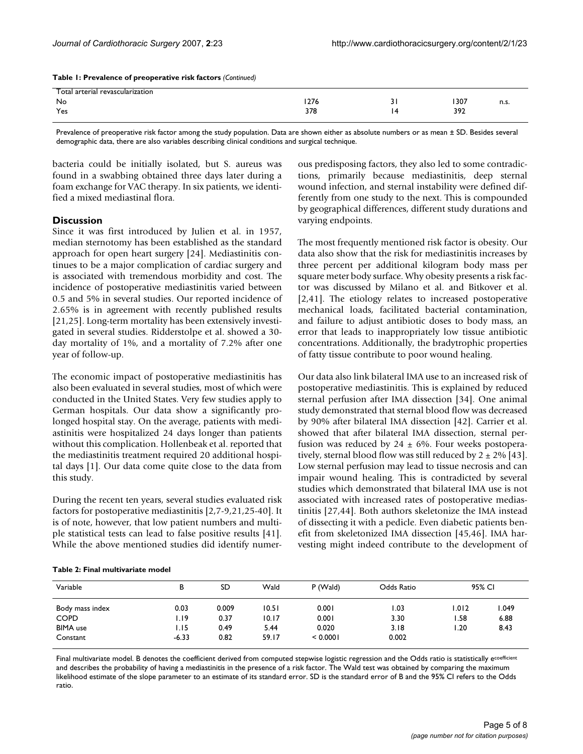| Table 1: Prevalence of preoperative risk factors (Continued) |  |  |  |
|--------------------------------------------------------------|--|--|--|
|--------------------------------------------------------------|--|--|--|

| Total arterial revascularization |      |         |      |       |
|----------------------------------|------|---------|------|-------|
| No                               | 1276 | $\cdot$ | 1307 | 11.3. |
| Yes                              | 378  | 14      | 392  |       |

Prevalence of preoperative risk factor among the study population. Data are shown either as absolute numbers or as mean ± SD. Besides several demographic data, there are also variables describing clinical conditions and surgical technique.

bacteria could be initially isolated, but S. aureus was found in a swabbing obtained three days later during a foam exchange for VAC therapy. In six patients, we identified a mixed mediastinal flora.

#### **Discussion**

Since it was first introduced by Julien et al. in 1957, median sternotomy has been established as the standard approach for open heart surgery [24]. Mediastinitis continues to be a major complication of cardiac surgery and is associated with tremendous morbidity and cost. The incidence of postoperative mediastinitis varied between 0.5 and 5% in several studies. Our reported incidence of 2.65% is in agreement with recently published results [21,25]. Long-term mortality has been extensively investigated in several studies. Ridderstolpe et al. showed a 30 day mortality of 1%, and a mortality of 7.2% after one year of follow-up.

The economic impact of postoperative mediastinitis has also been evaluated in several studies, most of which were conducted in the United States. Very few studies apply to German hospitals. Our data show a significantly prolonged hospital stay. On the average, patients with mediastinitis were hospitalized 24 days longer than patients without this complication. Hollenbeak et al. reported that the mediastinitis treatment required 20 additional hospital days [1]. Our data come quite close to the data from this study.

During the recent ten years, several studies evaluated risk factors for postoperative mediastinitis [2,7-9,21,25-40]. It is of note, however, that low patient numbers and multiple statistical tests can lead to false positive results [41]. While the above mentioned studies did identify numerous predisposing factors, they also led to some contradictions, primarily because mediastinitis, deep sternal wound infection, and sternal instability were defined differently from one study to the next. This is compounded by geographical differences, different study durations and varying endpoints.

The most frequently mentioned risk factor is obesity. Our data also show that the risk for mediastinitis increases by three percent per additional kilogram body mass per square meter body surface. Why obesity presents a risk factor was discussed by Milano et al. and Bitkover et al. [2,41]. The etiology relates to increased postoperative mechanical loads, facilitated bacterial contamination, and failure to adjust antibiotic doses to body mass, an error that leads to inappropriately low tissue antibiotic concentrations. Additionally, the bradytrophic properties of fatty tissue contribute to poor wound healing.

Our data also link bilateral IMA use to an increased risk of postoperative mediastinitis. This is explained by reduced sternal perfusion after IMA dissection [34]. One animal study demonstrated that sternal blood flow was decreased by 90% after bilateral IMA dissection [42]. Carrier et al. showed that after bilateral IMA dissection, sternal perfusion was reduced by  $24 \pm 6\%$ . Four weeks postoperatively, sternal blood flow was still reduced by  $2 \pm 2\%$  [43]. Low sternal perfusion may lead to tissue necrosis and can impair wound healing. This is contradicted by several studies which demonstrated that bilateral IMA use is not associated with increased rates of postoperative mediastinitis [27,44]. Both authors skeletonize the IMA instead of dissecting it with a pedicle. Even diabetic patients benefit from skeletonized IMA dissection [45,46]. IMA harvesting might indeed contribute to the development of

|  |  | Table 2: Final multivariate model |  |
|--|--|-----------------------------------|--|
|--|--|-----------------------------------|--|

| Variable        |         | в     | SD    | Wald     | P (Wald) | Odds Ratio | 95% CI |  |
|-----------------|---------|-------|-------|----------|----------|------------|--------|--|
| Body mass index | 0.03    | 0.009 | 10.51 | 0.001    | 1.03     | 1.012      | .049   |  |
| <b>COPD</b>     | 1.19    | 0.37  | 10.17 | 0.001    | 3.30     | 1.58       | 6.88   |  |
| <b>BIMA</b> use | I.I5    | 0.49  | 5.44  | 0.020    | 3.18     | .20        | 8.43   |  |
| Constant        | $-6.33$ | 0.82  | 59.17 | < 0.0001 | 0.002    |            |        |  |

Final multivariate model. B denotes the coefficient derived from computed stepwise logistic regression and the Odds ratio is statistically e<sup>coefficient</sup> and describes the probability of having a mediastinitis in the presence of a risk factor. The Wald test was obtained by comparing the maximum likelihood estimate of the slope parameter to an estimate of its standard error. SD is the standard error of B and the 95% CI refers to the Odds ratio.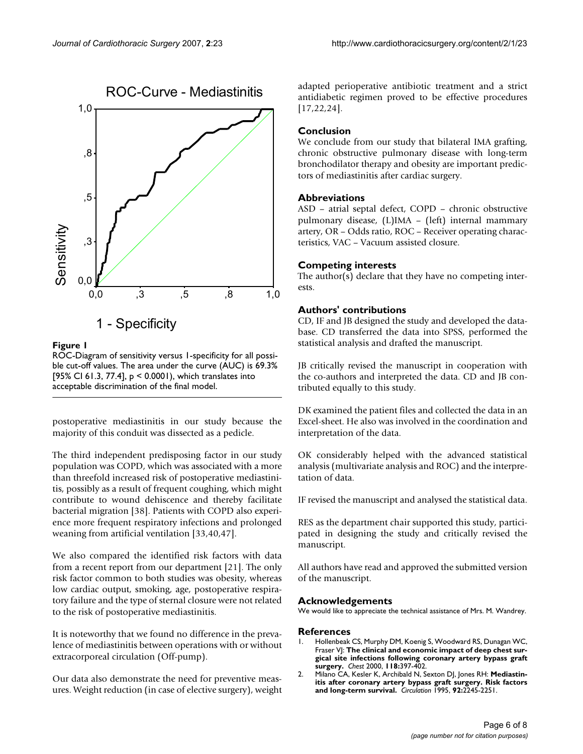

# Figure 1

ROC-Diagram of sensitivity versus 1-specificity for all possible cut-off values. The area under the curve (AUC) is 69.3% [95% CI 61.3, 77.4], p < 0.0001), which translates into acceptable discrimination of the final model.

postoperative mediastinitis in our study because the majority of this conduit was dissected as a pedicle.

The third independent predisposing factor in our study population was COPD, which was associated with a more than threefold increased risk of postoperative mediastinitis, possibly as a result of frequent coughing, which might contribute to wound dehiscence and thereby facilitate bacterial migration [38]. Patients with COPD also experience more frequent respiratory infections and prolonged weaning from artificial ventilation [33,40,47].

We also compared the identified risk factors with data from a recent report from our department [21]. The only risk factor common to both studies was obesity, whereas low cardiac output, smoking, age, postoperative respiratory failure and the type of sternal closure were not related to the risk of postoperative mediastinitis.

It is noteworthy that we found no difference in the prevalence of mediastinitis between operations with or without extracorporeal circulation (Off-pump).

Our data also demonstrate the need for preventive measures. Weight reduction (in case of elective surgery), weight adapted perioperative antibiotic treatment and a strict antidiabetic regimen proved to be effective procedures [17,22,24].

# **Conclusion**

We conclude from our study that bilateral IMA grafting, chronic obstructive pulmonary disease with long-term bronchodilator therapy and obesity are important predictors of mediastinitis after cardiac surgery.

# **Abbreviations**

ASD – atrial septal defect, COPD – chronic obstructive pulmonary disease, (L)IMA – (left) internal mammary artery, OR – Odds ratio, ROC – Receiver operating characteristics, VAC – Vacuum assisted closure.

# **Competing interests**

The author(s) declare that they have no competing interests.

# **Authors' contributions**

CD, IF and JB designed the study and developed the database. CD transferred the data into SPSS, performed the statistical analysis and drafted the manuscript.

JB critically revised the manuscript in cooperation with the co-authors and interpreted the data. CD and JB contributed equally to this study.

DK examined the patient files and collected the data in an Excel-sheet. He also was involved in the coordination and interpretation of the data.

OK considerably helped with the advanced statistical analysis (multivariate analysis and ROC) and the interpretation of data.

IF revised the manuscript and analysed the statistical data.

RES as the department chair supported this study, participated in designing the study and critically revised the manuscript.

All authors have read and approved the submitted version of the manuscript.

# **Acknowledgements**

We would like to appreciate the technical assistance of Mrs. M. Wandrey.

### **References**

- 1. Hollenbeak CS, Murphy DM, Koenig S, Woodward RS, Dunagan WC, Fraser VJ: **[The clinical and economic impact of deep chest sur](http://www.ncbi.nlm.nih.gov/entrez/query.fcgi?cmd=Retrieve&db=PubMed&dopt=Abstract&list_uids=10936131)[gical site infections following coronary artery bypass graft](http://www.ncbi.nlm.nih.gov/entrez/query.fcgi?cmd=Retrieve&db=PubMed&dopt=Abstract&list_uids=10936131) [surgery.](http://www.ncbi.nlm.nih.gov/entrez/query.fcgi?cmd=Retrieve&db=PubMed&dopt=Abstract&list_uids=10936131)** *Chest* 2000, **118:**397-402.
- 2. Milano CA, Kesler K, Archibald N, Sexton DJ, Jones RH: **[Mediastin](http://www.ncbi.nlm.nih.gov/entrez/query.fcgi?cmd=Retrieve&db=PubMed&dopt=Abstract&list_uids=7554208)[itis after coronary artery bypass graft surgery. Risk factors](http://www.ncbi.nlm.nih.gov/entrez/query.fcgi?cmd=Retrieve&db=PubMed&dopt=Abstract&list_uids=7554208) [and long-term survival.](http://www.ncbi.nlm.nih.gov/entrez/query.fcgi?cmd=Retrieve&db=PubMed&dopt=Abstract&list_uids=7554208)** *Circulation* 1995, **92:**2245-2251.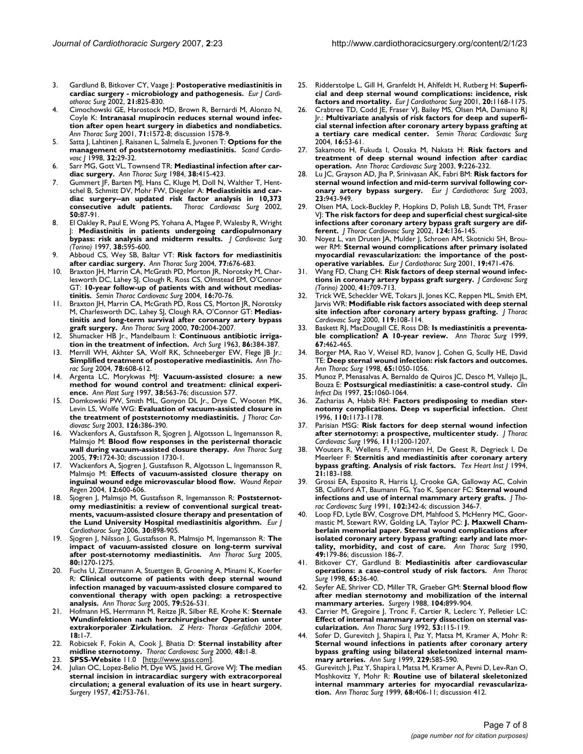- 3. Gardlund B, Bitkover CY, Vaage J: **[Postoperative mediastinitis in](http://www.ncbi.nlm.nih.gov/entrez/query.fcgi?cmd=Retrieve&db=PubMed&dopt=Abstract&list_uids=12062270) [cardiac surgery - microbiology and pathogenesis.](http://www.ncbi.nlm.nih.gov/entrez/query.fcgi?cmd=Retrieve&db=PubMed&dopt=Abstract&list_uids=12062270)** *Eur J Cardiothorac Surg* 2002, **21:**825-830.
- 4. Cimochowski GE, Harostock MD, Brown R, Bernardi M, Alonzo N, Coyle K: **[Intranasal mupirocin reduces sternal wound infec](http://www.ncbi.nlm.nih.gov/entrez/query.fcgi?cmd=Retrieve&db=PubMed&dopt=Abstract&list_uids=11383802)[tion after open heart surgery in diabetics and nondiabetics.](http://www.ncbi.nlm.nih.gov/entrez/query.fcgi?cmd=Retrieve&db=PubMed&dopt=Abstract&list_uids=11383802)** *Ann Thorac Surg* 2001, **71:**1572-8; discussion 1578-9.
- 5. Satta J, Lahtinen J, Raisanen L, Salmela E, Juvonen T: **[Options for the](http://www.ncbi.nlm.nih.gov/entrez/query.fcgi?cmd=Retrieve&db=PubMed&dopt=Abstract&list_uids=9536503) [management of poststernotomy mediastinitis.](http://www.ncbi.nlm.nih.gov/entrez/query.fcgi?cmd=Retrieve&db=PubMed&dopt=Abstract&list_uids=9536503)** *Scand Cardiovasc J* 1998, **32:**29-32.
- 6. Sarr MG, Gott VL, Townsend TR: **[Mediastinal infection after car](http://www.ncbi.nlm.nih.gov/entrez/query.fcgi?cmd=Retrieve&db=PubMed&dopt=Abstract&list_uids=6385892)[diac surgery.](http://www.ncbi.nlm.nih.gov/entrez/query.fcgi?cmd=Retrieve&db=PubMed&dopt=Abstract&list_uids=6385892)** *Ann Thorac Surg* 1984, **38:**415-423.
- 7. Gummert JF, Barten MJ, Hans C, Kluge M, Doll N, Walther T, Hentschel B, Schmitt DV, Mohr FW, Diegeler A: **[Mediastinitis and car](http://www.ncbi.nlm.nih.gov/entrez/query.fcgi?cmd=Retrieve&db=PubMed&dopt=Abstract&list_uids=11981708)[diac surgery--an updated risk factor analysis in 10,373](http://www.ncbi.nlm.nih.gov/entrez/query.fcgi?cmd=Retrieve&db=PubMed&dopt=Abstract&list_uids=11981708) [consecutive adult patients.](http://www.ncbi.nlm.nih.gov/entrez/query.fcgi?cmd=Retrieve&db=PubMed&dopt=Abstract&list_uids=11981708)** *Thorac Cardiovasc Surg* 2002, **50:**87-91.
- 8. El Oakley R, Paul E, Wong PS, Yohana A, Magee P, Walesby R, Wright J: **[Mediastinitis in patients undergoing cardiopulmonary](http://www.ncbi.nlm.nih.gov/entrez/query.fcgi?cmd=Retrieve&db=PubMed&dopt=Abstract&list_uids=9461264) [bypass: risk analysis and midterm results.](http://www.ncbi.nlm.nih.gov/entrez/query.fcgi?cmd=Retrieve&db=PubMed&dopt=Abstract&list_uids=9461264)** *J Cardiovasc Surg (Torino)* 1997, **38:**595-600.
- 9. Abboud CS, Wey SB, Baltar VT: **[Risk factors for mediastinitis](http://www.ncbi.nlm.nih.gov/entrez/query.fcgi?cmd=Retrieve&db=PubMed&dopt=Abstract&list_uids=14759458) [after cardiac surgery.](http://www.ncbi.nlm.nih.gov/entrez/query.fcgi?cmd=Retrieve&db=PubMed&dopt=Abstract&list_uids=14759458)** *Ann Thorac Surg* 2004, **77:**676-683.
- 10. Braxton JH, Marrin CA, McGrath PD, Morton JR, Norotsky M, Charlesworth DC, Lahey SJ, Clough R, Ross CS, Olmstead EM, O'Connor GT: **[10-year follow-up of patients with and without medias](http://www.ncbi.nlm.nih.gov/entrez/query.fcgi?cmd=Retrieve&db=PubMed&dopt=Abstract&list_uids=15366690)[tinitis.](http://www.ncbi.nlm.nih.gov/entrez/query.fcgi?cmd=Retrieve&db=PubMed&dopt=Abstract&list_uids=15366690)** *Semin Thorac Cardiovasc Surg* 2004, **16:**70-76.
- 11. Braxton JH, Marrin CA, McGrath PD, Ross CS, Morton JR, Norotsky M, Charlesworth DC, Lahey SJ, Clough RA, O'Connor GT: **[Medias](http://www.ncbi.nlm.nih.gov/entrez/query.fcgi?cmd=Retrieve&db=PubMed&dopt=Abstract&list_uids=11156110)[tinitis and long-term survival after coronary artery bypass](http://www.ncbi.nlm.nih.gov/entrez/query.fcgi?cmd=Retrieve&db=PubMed&dopt=Abstract&list_uids=11156110) [graft surgery.](http://www.ncbi.nlm.nih.gov/entrez/query.fcgi?cmd=Retrieve&db=PubMed&dopt=Abstract&list_uids=11156110)** *Ann Thorac Surg* 2000, **70:**2004-2007.
- Shumacker HB |r., Mandelbaum I: [Continuous antibiotic irriga](http://www.ncbi.nlm.nih.gov/entrez/query.fcgi?cmd=Retrieve&db=PubMed&dopt=Abstract&list_uids=13988788)**[tion in the treatment of infection.](http://www.ncbi.nlm.nih.gov/entrez/query.fcgi?cmd=Retrieve&db=PubMed&dopt=Abstract&list_uids=13988788)** *Arch Surg* 1963, **86:**384-387.
- 13. Merrill WH, Akhter SA, Wolf RK, Schneeberger EW, Flege JB Jr.: **[Simplified treatment of postoperative mediastinitis.](http://www.ncbi.nlm.nih.gov/entrez/query.fcgi?cmd=Retrieve&db=PubMed&dopt=Abstract&list_uids=15276531)** *Ann Thorac Surg* 2004, **78:**608-612.
- 14. Argenta LC, Morykwas MJ: **[Vacuum-assisted closure: a new](http://www.ncbi.nlm.nih.gov/entrez/query.fcgi?cmd=Retrieve&db=PubMed&dopt=Abstract&list_uids=9188971) [method for wound control and treatment: clinical experi](http://www.ncbi.nlm.nih.gov/entrez/query.fcgi?cmd=Retrieve&db=PubMed&dopt=Abstract&list_uids=9188971)[ence.](http://www.ncbi.nlm.nih.gov/entrez/query.fcgi?cmd=Retrieve&db=PubMed&dopt=Abstract&list_uids=9188971)** *Ann Plast Surg* 1997, **38:**563-76; discussion 577.
- Domkowski PW, Smith ML, Gonyon DL Jr., Drye C, Wooten MK, Levin LS, Wolfe WG: **[Evaluation of vacuum-assisted closure in](http://www.ncbi.nlm.nih.gov/entrez/query.fcgi?cmd=Retrieve&db=PubMed&dopt=Abstract&list_uids=12928634) [the treatment of poststernotomy mediastinitis.](http://www.ncbi.nlm.nih.gov/entrez/query.fcgi?cmd=Retrieve&db=PubMed&dopt=Abstract&list_uids=12928634)** *J Thorac Cardiovasc Surg* 2003, **126:**386-390.
- 16. Wackenfors A, Gustafsson R, Sjogren J, Algotsson L, Ingemansson R, Malmsjo M: **[Blood flow responses in the peristernal thoracic](http://www.ncbi.nlm.nih.gov/entrez/query.fcgi?cmd=Retrieve&db=PubMed&dopt=Abstract&list_uids=15854963) [wall during vacuum-assisted closure therapy.](http://www.ncbi.nlm.nih.gov/entrez/query.fcgi?cmd=Retrieve&db=PubMed&dopt=Abstract&list_uids=15854963)** *Ann Thorac Surg* 2005, **79:**1724-30; discussion 1730-1.
- 17. Wackenfors A, Sjogren J, Gustafsson R, Algotsson L, Ingemansson R, Malmsjo M: **[Effects of vacuum-assisted closure therapy on](http://www.ncbi.nlm.nih.gov/entrez/query.fcgi?cmd=Retrieve&db=PubMed&dopt=Abstract&list_uids=15555050) [inguinal wound edge microvascular blood flow.](http://www.ncbi.nlm.nih.gov/entrez/query.fcgi?cmd=Retrieve&db=PubMed&dopt=Abstract&list_uids=15555050)** *Wound Repair Regen* 2004, **12:**600-606.
- 18. Sjogren J, Malmsjo M, Gustafsson R, Ingemansson R: **[Poststernot](http://www.ncbi.nlm.nih.gov/entrez/query.fcgi?cmd=Retrieve&db=PubMed&dopt=Abstract&list_uids=17056269)[omy mediastinitis: a review of conventional surgical treat](http://www.ncbi.nlm.nih.gov/entrez/query.fcgi?cmd=Retrieve&db=PubMed&dopt=Abstract&list_uids=17056269)ments, vacuum-assisted closure therapy and presentation of [the Lund University Hospital mediastinitis algorithm.](http://www.ncbi.nlm.nih.gov/entrez/query.fcgi?cmd=Retrieve&db=PubMed&dopt=Abstract&list_uids=17056269)** *Eur J Cardiothorac Surg* 2006, **30:**898-905.
- 19. Sjogren J, Nilsson J, Gustafsson R, Malmsjo M, Ingemansson R: **[The](http://www.ncbi.nlm.nih.gov/entrez/query.fcgi?cmd=Retrieve&db=PubMed&dopt=Abstract&list_uids=16181853) [impact of vacuum-assisted closure on long-term survival](http://www.ncbi.nlm.nih.gov/entrez/query.fcgi?cmd=Retrieve&db=PubMed&dopt=Abstract&list_uids=16181853) [after post-sternotomy mediastinitis.](http://www.ncbi.nlm.nih.gov/entrez/query.fcgi?cmd=Retrieve&db=PubMed&dopt=Abstract&list_uids=16181853)** *Ann Thorac Surg* 2005, **80:**1270-1275.
- 20. Fuchs U, Zittermann A, Stuettgen B, Groening A, Minami K, Koerfer R: **[Clinical outcome of patients with deep sternal wound](http://www.ncbi.nlm.nih.gov/entrez/query.fcgi?cmd=Retrieve&db=PubMed&dopt=Abstract&list_uids=15680828) [infection managed by vacuum-assisted closure compared to](http://www.ncbi.nlm.nih.gov/entrez/query.fcgi?cmd=Retrieve&db=PubMed&dopt=Abstract&list_uids=15680828) conventional therapy with open packing: a retrospective [analysis.](http://www.ncbi.nlm.nih.gov/entrez/query.fcgi?cmd=Retrieve&db=PubMed&dopt=Abstract&list_uids=15680828)** *Ann Thorac Surg* 2005, **79:**526-531.
- 21. Hofmann HS, Herrmann M, Reitze JR, Silber RE, Krohe K: **Sternale Wundinfektionen nach herzchirurgischer Operation unter extrakorporaler Zirkulation.** *Z Herz- Thorax -Gefäßchir* 2004, **18:**1-7.
- 22. Robicsek F, Fokin A, Cook J, Bhatia D: **[Sternal instability after](http://www.ncbi.nlm.nih.gov/entrez/query.fcgi?cmd=Retrieve&db=PubMed&dopt=Abstract&list_uids=10757149) [midline sternotomy.](http://www.ncbi.nlm.nih.gov/entrez/query.fcgi?cmd=Retrieve&db=PubMed&dopt=Abstract&list_uids=10757149)** *Thorac Cardiovasc Surg* 2000, **48:**1-8.
- 23. **SPSS-Website** 11.0 [\[http://www.spss.com](http://www.spss.com)].
- 24. Julian OC, Lopez-Belio M, Dye WS, Javid H, Grove WJ: **[The median](http://www.ncbi.nlm.nih.gov/entrez/query.fcgi?cmd=Retrieve&db=PubMed&dopt=Abstract&list_uids=13467646) [sternal incision in intracardiac surgery with extracorporeal](http://www.ncbi.nlm.nih.gov/entrez/query.fcgi?cmd=Retrieve&db=PubMed&dopt=Abstract&list_uids=13467646) circulation; a general evaluation of its use in heart surgery.** *Surgery* 1957, **42:**753-761.
- 25. Ridderstolpe L, Gill H, Granfeldt H, Ahlfeldt H, Rutberg H: **[Superfi](http://www.ncbi.nlm.nih.gov/entrez/query.fcgi?cmd=Retrieve&db=PubMed&dopt=Abstract&list_uids=11717023)[cial and deep sternal wound complications: incidence, risk](http://www.ncbi.nlm.nih.gov/entrez/query.fcgi?cmd=Retrieve&db=PubMed&dopt=Abstract&list_uids=11717023) [factors and mortality.](http://www.ncbi.nlm.nih.gov/entrez/query.fcgi?cmd=Retrieve&db=PubMed&dopt=Abstract&list_uids=11717023)** *Eur J Cardiothorac Surg* 2001, **20:**1168-1175.
- 26. Crabtree TD, Codd JE, Fraser VJ, Bailey MS, Olsen MA, Damiano RJ Jr.: **[Multivariate analysis of risk factors for deep and superfi](http://www.ncbi.nlm.nih.gov/entrez/query.fcgi?cmd=Retrieve&db=PubMed&dopt=Abstract&list_uids=15366688)[cial sternal infection after coronary artery bypass grafting at](http://www.ncbi.nlm.nih.gov/entrez/query.fcgi?cmd=Retrieve&db=PubMed&dopt=Abstract&list_uids=15366688) [a tertiary care medical center.](http://www.ncbi.nlm.nih.gov/entrez/query.fcgi?cmd=Retrieve&db=PubMed&dopt=Abstract&list_uids=15366688)** *Semin Thorac Cardiovasc Surg* 2004, **16:**53-61.
- 27. Sakamoto H, Fukuda I, Oosaka M, Nakata H: **[Risk factors and](http://www.ncbi.nlm.nih.gov/entrez/query.fcgi?cmd=Retrieve&db=PubMed&dopt=Abstract&list_uids=13129420) [treatment of deep sternal wound infection after cardiac](http://www.ncbi.nlm.nih.gov/entrez/query.fcgi?cmd=Retrieve&db=PubMed&dopt=Abstract&list_uids=13129420) [operation.](http://www.ncbi.nlm.nih.gov/entrez/query.fcgi?cmd=Retrieve&db=PubMed&dopt=Abstract&list_uids=13129420)** *Ann Thorac Cardiovasc Surg* 2003, **9:**226-232.
- 28. Lu JC, Grayson AD, Jha P, Srinivasan AK, Fabri BM: **[Risk factors for](http://www.ncbi.nlm.nih.gov/entrez/query.fcgi?cmd=Retrieve&db=PubMed&dopt=Abstract&list_uids=12829070) [sternal wound infection and mid-term survival following cor](http://www.ncbi.nlm.nih.gov/entrez/query.fcgi?cmd=Retrieve&db=PubMed&dopt=Abstract&list_uids=12829070)[onary artery bypass surgery.](http://www.ncbi.nlm.nih.gov/entrez/query.fcgi?cmd=Retrieve&db=PubMed&dopt=Abstract&list_uids=12829070)** *Eur J Cardiothorac Surg* 2003, **23:**943-949.
- Olsen MA, Lock-Buckley P, Hopkins D, Polish LB, Sundt TM, Fraser VJ: **[The risk factors for deep and superficial chest surgical-site](http://www.ncbi.nlm.nih.gov/entrez/query.fcgi?cmd=Retrieve&db=PubMed&dopt=Abstract&list_uids=12091819) [infections after coronary artery bypass graft surgery are dif](http://www.ncbi.nlm.nih.gov/entrez/query.fcgi?cmd=Retrieve&db=PubMed&dopt=Abstract&list_uids=12091819)[ferent.](http://www.ncbi.nlm.nih.gov/entrez/query.fcgi?cmd=Retrieve&db=PubMed&dopt=Abstract&list_uids=12091819)** *J Thorac Cardiovasc Surg* 2002, **124:**136-145.
- 30. Noyez L, van Druten JA, Mulder J, Schroen AM, Skotnicki SH, Brouwer RM: **[Sternal wound complications after primary isolated](http://www.ncbi.nlm.nih.gov/entrez/query.fcgi?cmd=Retrieve&db=PubMed&dopt=Abstract&list_uids=11306315) [myocardial revascularization: the importance of the post](http://www.ncbi.nlm.nih.gov/entrez/query.fcgi?cmd=Retrieve&db=PubMed&dopt=Abstract&list_uids=11306315)[operative variables.](http://www.ncbi.nlm.nih.gov/entrez/query.fcgi?cmd=Retrieve&db=PubMed&dopt=Abstract&list_uids=11306315)** *Eur J Cardiothorac Surg* 2001, **19:**471-476.
- 31. Wang FD, Chang CH: **[Risk factors of deep sternal wound infec](http://www.ncbi.nlm.nih.gov/entrez/query.fcgi?cmd=Retrieve&db=PubMed&dopt=Abstract&list_uids=11149637)[tions in coronary artery bypass graft surgery.](http://www.ncbi.nlm.nih.gov/entrez/query.fcgi?cmd=Retrieve&db=PubMed&dopt=Abstract&list_uids=11149637)** *J Cardiovasc Surg (Torino)* 2000, **41:**709-713.
- Trick WE, Scheckler WE, Tokars JI, Jones KC, Reppen ML, Smith EM, Jarvis WR: **[Modifiable risk factors associated with deep sternal](http://www.ncbi.nlm.nih.gov/entrez/query.fcgi?cmd=Retrieve&db=PubMed&dopt=Abstract&list_uids=10612768) [site infection after coronary artery bypass grafting.](http://www.ncbi.nlm.nih.gov/entrez/query.fcgi?cmd=Retrieve&db=PubMed&dopt=Abstract&list_uids=10612768)** *J Thorac Cardiovasc Surg* 2000, **119:**108-114.
- Baskett RJ, MacDougall CE, Ross DB: **[Is mediastinitis a preventa](http://www.ncbi.nlm.nih.gov/entrez/query.fcgi?cmd=Retrieve&db=PubMed&dopt=Abstract&list_uids=10197671)[ble complication? A 10-year review.](http://www.ncbi.nlm.nih.gov/entrez/query.fcgi?cmd=Retrieve&db=PubMed&dopt=Abstract&list_uids=10197671)** *Ann Thorac Surg* 1999, **67:**462-465.
- 34. Borger MA, Rao V, Weisel RD, Ivanov J, Cohen G, Scully HE, David TE: **[Deep sternal wound infection: risk factors and outcomes.](http://www.ncbi.nlm.nih.gov/entrez/query.fcgi?cmd=Retrieve&db=PubMed&dopt=Abstract&list_uids=9564926)** *Ann Thorac Surg* 1998, **65:**1050-1056.
- 35. Munoz P, Menasalvas A, Bernaldo de Quiros JC, Desco M, Vallejo JL, Bouza E: **[Postsurgical mediastinitis: a case-control study.](http://www.ncbi.nlm.nih.gov/entrez/query.fcgi?cmd=Retrieve&db=PubMed&dopt=Abstract&list_uids=9402357)** *Clin Infect Dis* 1997, **25:**1060-1064.
- Zacharias A, Habib RH: [Factors predisposing to median ster](http://www.ncbi.nlm.nih.gov/entrez/query.fcgi?cmd=Retrieve&db=PubMed&dopt=Abstract&list_uids=8915216)**[notomy complications. Deep vs superficial infection.](http://www.ncbi.nlm.nih.gov/entrez/query.fcgi?cmd=Retrieve&db=PubMed&dopt=Abstract&list_uids=8915216)** *Chest* 1996, **110:**1173-1178.
- 37. Parisian MSG: **[Risk factors for deep sternal wound infection](http://www.ncbi.nlm.nih.gov/entrez/query.fcgi?cmd=Retrieve&db=PubMed&dopt=Abstract&list_uids=8642821) [after sternotomy: a prospective, multicenter study.](http://www.ncbi.nlm.nih.gov/entrez/query.fcgi?cmd=Retrieve&db=PubMed&dopt=Abstract&list_uids=8642821)** *J Thorac Cardiovasc Surg* 1996, **111:**1200-1207.
- 38. Wouters R, Wellens F, Vanermen H, De Geest R, Degrieck I, De Meerleer F: **[Sternitis and mediastinitis after coronary artery](http://www.ncbi.nlm.nih.gov/entrez/query.fcgi?cmd=Retrieve&db=PubMed&dopt=Abstract&list_uids=8000263) [bypass grafting. Analysis of risk factors.](http://www.ncbi.nlm.nih.gov/entrez/query.fcgi?cmd=Retrieve&db=PubMed&dopt=Abstract&list_uids=8000263)** *Tex Heart Inst J* 1994, **21:**183-188.
- Grossi EA, Esposito R, Harris LJ, Crooke GA, Galloway AC, Colvin SB, Culliford AT, Baumann FG, Yao K, Spencer FC: **[Sternal wound](http://www.ncbi.nlm.nih.gov/entrez/query.fcgi?cmd=Retrieve&db=PubMed&dopt=Abstract&list_uids=1881174) [infections and use of internal mammary artery grafts.](http://www.ncbi.nlm.nih.gov/entrez/query.fcgi?cmd=Retrieve&db=PubMed&dopt=Abstract&list_uids=1881174)** *J Thorac Cardiovasc Surg* 1991, **102:**342-6; discussion 346-7.
- Loop FD, Lytle BW, Cosgrove DM, Mahfood S, McHenry MC, Goormastic M, Stewart RW, Golding LA, Taylor PC: **[J. Maxwell Cham](http://www.ncbi.nlm.nih.gov/entrez/query.fcgi?cmd=Retrieve&db=PubMed&dopt=Abstract&list_uids=2306138)[berlain memorial paper. Sternal wound complications after](http://www.ncbi.nlm.nih.gov/entrez/query.fcgi?cmd=Retrieve&db=PubMed&dopt=Abstract&list_uids=2306138) isolated coronary artery bypass grafting: early and late mor[tality, morbidity, and cost of care.](http://www.ncbi.nlm.nih.gov/entrez/query.fcgi?cmd=Retrieve&db=PubMed&dopt=Abstract&list_uids=2306138)** *Ann Thorac Surg* 1990, **49:**179-86; discussion 186-7.
- 41. Bitkover CY, Gardlund B: **[Mediastinitis after cardiovascular](http://www.ncbi.nlm.nih.gov/entrez/query.fcgi?cmd=Retrieve&db=PubMed&dopt=Abstract&list_uids=9456092) [operations: a case-control study of risk factors.](http://www.ncbi.nlm.nih.gov/entrez/query.fcgi?cmd=Retrieve&db=PubMed&dopt=Abstract&list_uids=9456092)** *Ann Thorac Surg* 1998, **65:**36-40.
- 42. Seyfer AE, Shriver CD, Miller TR, Graeber GM: **[Sternal blood flow](http://www.ncbi.nlm.nih.gov/entrez/query.fcgi?cmd=Retrieve&db=PubMed&dopt=Abstract&list_uids=3187903) [after median sternotomy and mobilization of the internal](http://www.ncbi.nlm.nih.gov/entrez/query.fcgi?cmd=Retrieve&db=PubMed&dopt=Abstract&list_uids=3187903) [mammary arteries.](http://www.ncbi.nlm.nih.gov/entrez/query.fcgi?cmd=Retrieve&db=PubMed&dopt=Abstract&list_uids=3187903)** *Surgery* 1988, **104:**899-904.
- 43. Carrier M, Gregoire J, Tronc F, Cartier R, Leclerc Y, Pelletier LC: **[Effect of internal mammary artery dissection on sternal vas](http://www.ncbi.nlm.nih.gov/entrez/query.fcgi?cmd=Retrieve&db=PubMed&dopt=Abstract&list_uids=1345804)[cularization.](http://www.ncbi.nlm.nih.gov/entrez/query.fcgi?cmd=Retrieve&db=PubMed&dopt=Abstract&list_uids=1345804)** *Ann Thorac Surg* 1992, **53:**115-119.
- 44. Sofer D, Gurevitch J, Shapira I, Paz Y, Matsa M, Kramer A, Mohr R: **[Sternal wound infections in patients after coronary artery](http://www.ncbi.nlm.nih.gov/entrez/query.fcgi?cmd=Retrieve&db=PubMed&dopt=Abstract&list_uids=10203094) bypass grafting using bilateral skeletonized internal mam[mary arteries.](http://www.ncbi.nlm.nih.gov/entrez/query.fcgi?cmd=Retrieve&db=PubMed&dopt=Abstract&list_uids=10203094)** *Ann Surg* 1999, **229:**585-590.
- Gurevitch J, Paz Y, Shapira I, Matsa M, Kramer A, Pevni D, Lev-Ran O, Moshkovitz Y, Mohr R: **[Routine use of bilateral skeletonized](http://www.ncbi.nlm.nih.gov/entrez/query.fcgi?cmd=Retrieve&db=PubMed&dopt=Abstract&list_uids=10475404) [internal mammary arteries for myocardial revasculariza](http://www.ncbi.nlm.nih.gov/entrez/query.fcgi?cmd=Retrieve&db=PubMed&dopt=Abstract&list_uids=10475404)[tion.](http://www.ncbi.nlm.nih.gov/entrez/query.fcgi?cmd=Retrieve&db=PubMed&dopt=Abstract&list_uids=10475404)** *Ann Thorac Surg* 1999, **68:**406-11; discussion 412.